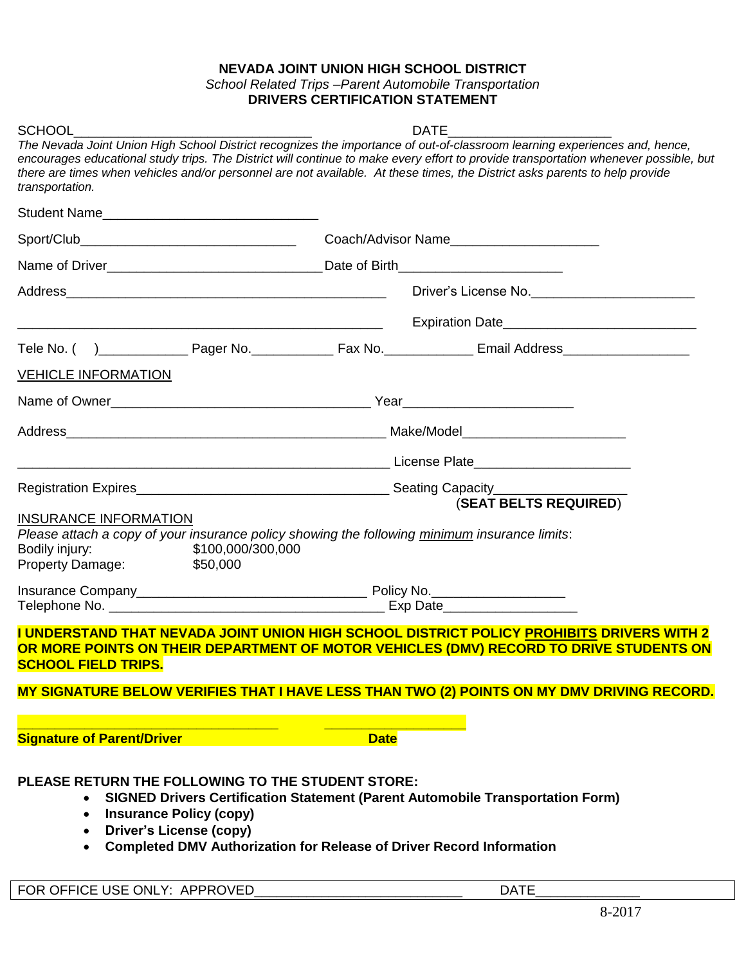## **NEVADA JOINT UNION HIGH SCHOOL DISTRICT** *School Related Trips –Parent Automobile Transportation* **DRIVERS CERTIFICATION STATEMENT**

| <b>SCHOOL</b>                                                                                                                                                                                                                                                                | <b>DATE</b>                              |                                                                                                                                                                                     |  |
|------------------------------------------------------------------------------------------------------------------------------------------------------------------------------------------------------------------------------------------------------------------------------|------------------------------------------|-------------------------------------------------------------------------------------------------------------------------------------------------------------------------------------|--|
| The Nevada Joint Union High School District recognizes the importance of out-of-classroom learning experiences and, hence,<br>there are times when vehicles and/or personnel are not available. At these times, the District asks parents to help provide<br>transportation. |                                          | encourages educational study trips. The District will continue to make every effort to provide transportation whenever possible, but                                                |  |
| Student Name                                                                                                                                                                                                                                                                 |                                          |                                                                                                                                                                                     |  |
|                                                                                                                                                                                                                                                                              |                                          | Coach/Advisor Name_________________________                                                                                                                                         |  |
|                                                                                                                                                                                                                                                                              | Date of Birth___________________________ |                                                                                                                                                                                     |  |
|                                                                                                                                                                                                                                                                              |                                          | Driver's License No.                                                                                                                                                                |  |
|                                                                                                                                                                                                                                                                              |                                          |                                                                                                                                                                                     |  |
|                                                                                                                                                                                                                                                                              |                                          |                                                                                                                                                                                     |  |
| <b>VEHICLE INFORMATION</b>                                                                                                                                                                                                                                                   |                                          |                                                                                                                                                                                     |  |
|                                                                                                                                                                                                                                                                              |                                          |                                                                                                                                                                                     |  |
|                                                                                                                                                                                                                                                                              |                                          |                                                                                                                                                                                     |  |
| <u>License Plate (2001)</u> License Plate (2001) 2004 2005 2006 2007 2007 2008 2009 2007 2008 2009 2009 2007 2008 20                                                                                                                                                         |                                          |                                                                                                                                                                                     |  |
|                                                                                                                                                                                                                                                                              |                                          |                                                                                                                                                                                     |  |
|                                                                                                                                                                                                                                                                              |                                          | (SEAT BELTS REQUIRED)                                                                                                                                                               |  |
| <b>INSURANCE INFORMATION</b><br>Please attach a copy of your insurance policy showing the following minimum insurance limits:<br>\$100,000/300,000<br>Bodily injury:<br>\$50,000<br><b>Property Damage:</b>                                                                  |                                          |                                                                                                                                                                                     |  |
|                                                                                                                                                                                                                                                                              |                                          |                                                                                                                                                                                     |  |
|                                                                                                                                                                                                                                                                              |                                          |                                                                                                                                                                                     |  |
| <b>SCHOOL FIELD TRIPS.</b>                                                                                                                                                                                                                                                   |                                          | I UNDERSTAND THAT NEVADA JOINT UNION HIGH SCHOOL DISTRICT POLICY PROHIBITS DRIVERS WITH 2<br>OR MORE POINTS ON THEIR DEPARTMENT OF MOTOR VEHICLES (DMV) RECORD TO DRIVE STUDENTS ON |  |
|                                                                                                                                                                                                                                                                              |                                          | MY SIGNATURE BELOW VERIFIES THAT I HAVE LESS THAN TWO (2) POINTS ON MY DMV DRIVING RECORD.                                                                                          |  |
| <b>Signature of Parent/Driver</b>                                                                                                                                                                                                                                            | <b>Date</b>                              |                                                                                                                                                                                     |  |
| PLEASE RETURN THE FOLLOWING TO THE STUDENT STORE:<br><b>Insurance Policy (copy)</b><br>$\bullet$<br><b>Driver's License (copy)</b><br>$\bullet$<br>• Completed DMV Authorization for Release of Driver Record Information                                                    |                                          | <b>SIGNED Drivers Certification Statement (Parent Automobile Transportation Form)</b>                                                                                               |  |